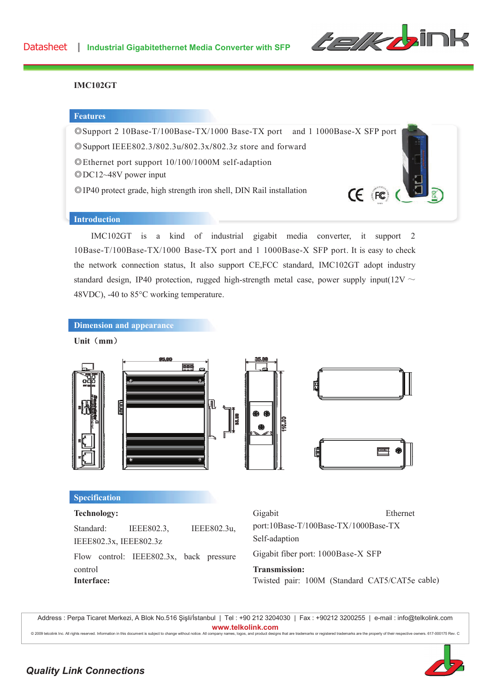

## **IMC102GT**

## **Features**



## **Introduction**

IMC102GT is a kind of industrial gigabit media converter, it support 2 10Base-T/100Base-TX/1000 Base-TX port and 1 1000Base-X SFP port. It is easy to check the network connection status, It also support CE,FCC standard, IMC102GT adopt industry standard design, IP40 protection, rugged high-strength metal case, power supply input( $12V \sim$ 48VDC), -40 to 85°C working temperature.



## **Unit** (mm)



Twisted pair: 100M (Standard CAT5/CAT5e cable)

Address : Perpa Ticaret Merkezi, A Blok No.516 Şişli/İstanbul | Tel : +90 212 3204030 | Fax : +90212 3200255 | e-mail : info@telkolink.com www.telkolink.com @ 2009 telcolink Inc. All rights reserved. Information in this document is subject to change without notice. A ll company names, logos, and product designs that are trademarks or registered trademarks are the property of their respective owners. 617-000175 Rev. C



**Interface:**